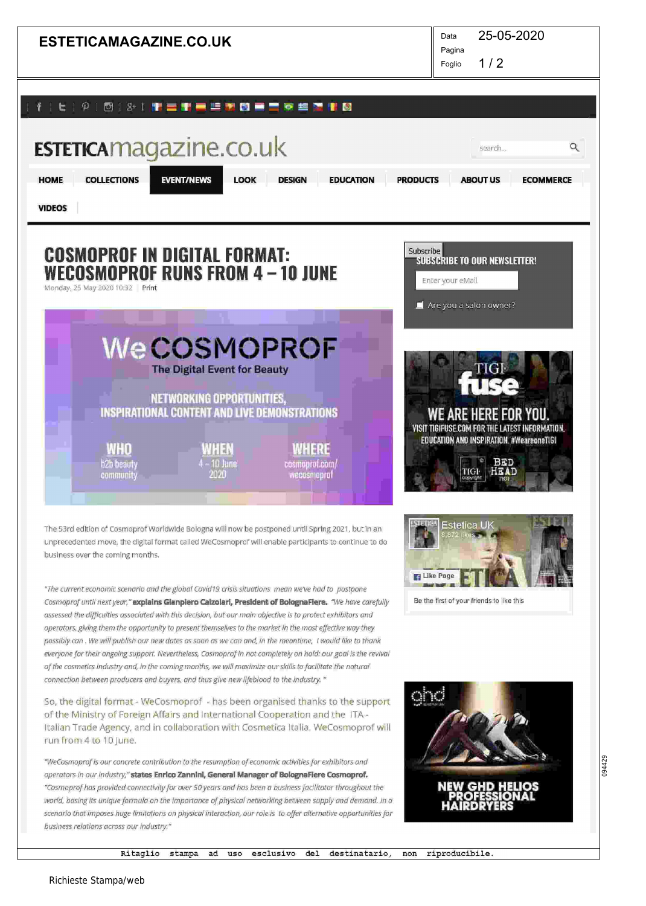

094429